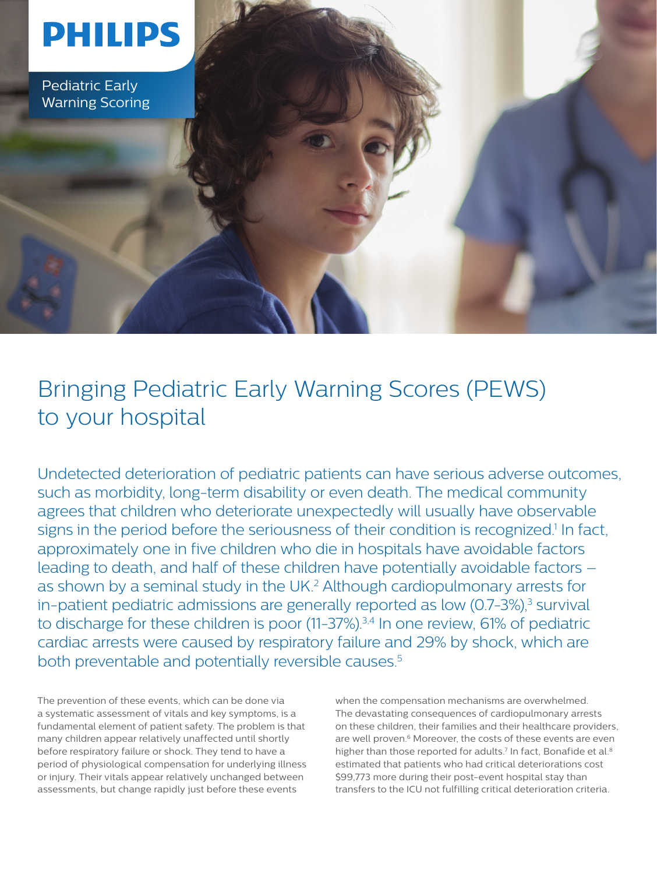# **PHILIPS**

Pediatric Early Warning Scoring

Bringing Pediatric Early Warning Scores (PEWS) to your hospital

Undetected deterioration of pediatric patients can have serious adverse outcomes, such as morbidity, long-term disability or even death. The medical community agrees that children who deteriorate unexpectedly will usually have observable signs in the period before the seriousness of their condition is recognized.<sup>1</sup> In fact, approximately one in five children who die in hospitals have avoidable factors leading to death, and half of these children have potentially avoidable factors – as shown by a seminal study in the UK.<sup>2</sup> Although cardiopulmonary arrests for in-patient pediatric admissions are generally reported as low (0.7-3%),<sup>3</sup> survival to discharge for these children is poor (11-37%).<sup>3,4</sup> In one review, 61% of pediatric cardiac arrests were caused by respiratory failure and 29% by shock, which are both preventable and potentially reversible causes.<sup>5</sup>

The prevention of these events, which can be done via a systematic assessment of vitals and key symptoms, is a fundamental element of patient safety. The problem is that many children appear relatively unaffected until shortly before respiratory failure or shock. They tend to have a period of physiological compensation for underlying illness or injury. Their vitals appear relatively unchanged between assessments, but change rapidly just before these events

when the compensation mechanisms are overwhelmed. The devastating consequences of cardiopulmonary arrests on these children, their families and their healthcare providers, are well proven.<sup>6</sup> Moreover, the costs of these events are even higher than those reported for adults.<sup>7</sup> In fact, Bonafide et al.<sup>8</sup> estimated that patients who had critical deteriorations cost \$99,773 more during their post-event hospital stay than transfers to the ICU not fulfilling critical deterioration criteria.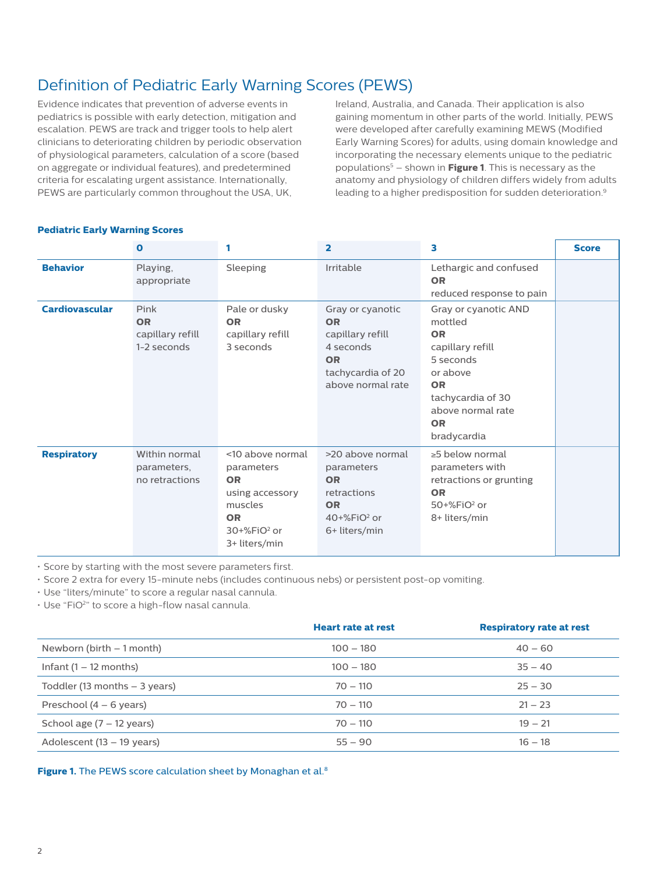## Definition of Pediatric Early Warning Scores (PEWS)

Evidence indicates that prevention of adverse events in pediatrics is possible with early detection, mitigation and escalation. PEWS are track and trigger tools to help alert clinicians to deteriorating children by periodic observation of physiological parameters, calculation of a score (based on aggregate or individual features), and predetermined criteria for escalating urgent assistance. Internationally, PEWS are particularly common throughout the USA, UK,

Ireland, Australia, and Canada. Their application is also gaining momentum in other parts of the world. Initially, PEWS were developed after carefully examining MEWS (Modified Early Warning Scores) for adults, using domain knowledge and incorporating the necessary elements unique to the pediatric populations5 – shown in **Figure 1**. This is necessary as the anatomy and physiology of children differs widely from adults leading to a higher predisposition for sudden deterioration.<sup>9</sup>

|                       | $\Omega$                                             |                                                                                                                                    | $\overline{\mathbf{2}}$                                                                                               | з                                                                                                                                                                            | <b>Score</b> |
|-----------------------|------------------------------------------------------|------------------------------------------------------------------------------------------------------------------------------------|-----------------------------------------------------------------------------------------------------------------------|------------------------------------------------------------------------------------------------------------------------------------------------------------------------------|--------------|
| <b>Behavior</b>       | Playing,<br>appropriate                              | Sleeping                                                                                                                           | Irritable                                                                                                             | Lethargic and confused<br><b>OR</b><br>reduced response to pain                                                                                                              |              |
| <b>Cardiovascular</b> | Pink<br><b>OR</b><br>capillary refill<br>1-2 seconds | Pale or dusky<br><b>OR</b><br>capillary refill<br>3 seconds                                                                        | Gray or cyanotic<br><b>OR</b><br>capillary refill<br>4 seconds<br><b>OR</b><br>tachycardia of 20<br>above normal rate | Gray or cyanotic AND<br>mottled<br><b>OR</b><br>capillary refill<br>5 seconds<br>or above<br><b>OR</b><br>tachycardia of 30<br>above normal rate<br><b>OR</b><br>bradycardia |              |
| <b>Respiratory</b>    | Within normal<br>parameters,<br>no retractions       | <10 above normal<br>parameters<br><b>OR</b><br>using accessory<br>muscles<br><b>OR</b><br>30+%FiO <sup>2</sup> or<br>3+ liters/min | >20 above normal<br>parameters<br><b>OR</b><br>retractions<br><b>OR</b><br>$40+%FiO2$ or<br>6+ liters/min             | $\geq$ 5 below normal<br>parameters with<br>retractions or grunting<br><b>OR</b><br>$50+%FiO2$ or<br>8+ liters/min                                                           |              |

### **Pediatric Early Warning Scores**

• Score by starting with the most severe parameters first.

• Score 2 extra for every 15-minute nebs (includes continuous nebs) or persistent post-op vomiting.

• Use "liters/minute" to score a regular nasal cannula.

• Use "FiO2" to score a high-flow nasal cannula.

|                                     | <b>Heart rate at rest</b> | <b>Respiratory rate at rest</b> |  |
|-------------------------------------|---------------------------|---------------------------------|--|
| Newborn (birth $-1$ month)          | $100 - 180$               | $40 - 60$                       |  |
| Infant $(1 – 12$ months)            | $100 - 180$               | $35 - 40$                       |  |
| Toddler (13 months $-$ 3 years)     | $70 - 110$                | $25 - 30$                       |  |
| Preschool $(4 - 6$ years)           | $70 - 110$                | $21 - 23$                       |  |
| School age $(7 - 12 \text{ years})$ | $70 - 110$                | $19 - 21$                       |  |
| Adolescent (13 – 19 years)          | $55 - 90$                 | $16 - 18$                       |  |

Figure 1. The PEWS score calculation sheet by Monaghan et al.<sup>8</sup>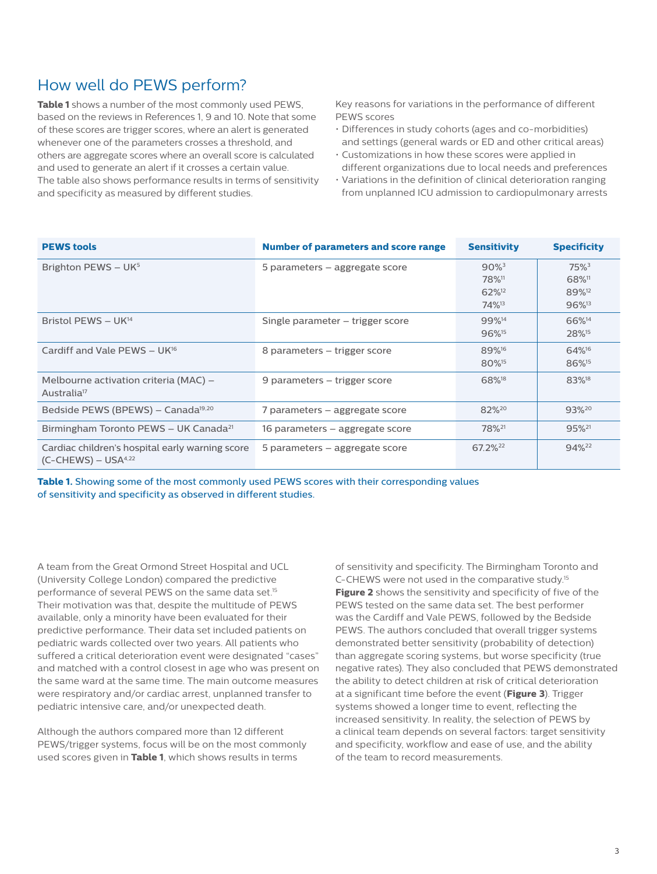### How well do PEWS perform?

**Table 1** shows a number of the most commonly used PEWS, based on the reviews in References 1, 9 and 10. Note that some of these scores are trigger scores, where an alert is generated whenever one of the parameters crosses a threshold, and others are aggregate scores where an overall score is calculated and used to generate an alert if it crosses a certain value. The table also shows performance results in terms of sensitivity and specificity as measured by different studies.

Key reasons for variations in the performance of different PEWS scores

- Differences in study cohorts (ages and co-morbidities) and settings (general wards or ED and other critical areas)
- Customizations in how these scores were applied in different organizations due to local needs and preferences
- Variations in the definition of clinical deterioration ranging from unplanned ICU admission to cardiopulmonary arrests

| <b>PEWS tools</b>                                                                     | <b>Number of parameters and score range</b> | <b>Sensitivity</b>                                                                 | <b>Specificity</b>                                                  |
|---------------------------------------------------------------------------------------|---------------------------------------------|------------------------------------------------------------------------------------|---------------------------------------------------------------------|
| Brighton PEWS - UK <sup>5</sup>                                                       | 5 parameters – aggregate score              | $90\%$ <sup>3</sup><br>78% <sup>11</sup><br>62% <sup>12</sup><br>74% <sup>13</sup> | 75%3<br>68% <sup>11</sup><br>89% <sup>12</sup><br>96% <sup>13</sup> |
| Bristol PEWS - UK <sup>14</sup>                                                       | Single parameter – trigger score            | 99% <sup>14</sup><br>96% <sup>15</sup>                                             | 66% <sup>14</sup><br>28% <sup>15</sup>                              |
| Cardiff and Vale PEWS $- U K^{16}$                                                    | 8 parameters – trigger score                | 89% <sup>16</sup><br>80% <sup>15</sup>                                             | 64% <sup>16</sup><br>86% <sup>15</sup>                              |
| Melbourne activation criteria (MAC) –<br>Australia <sup>17</sup>                      | 9 parameters - trigger score                | 68% <sup>18</sup>                                                                  | 83% <sup>18</sup>                                                   |
| Bedside PEWS (BPEWS) - Canada <sup>19,20</sup>                                        | 7 parameters – aggregate score              | 82%20                                                                              | 93%20                                                               |
| Birmingham Toronto PEWS - UK Canada <sup>21</sup>                                     | 16 parameters – aggregate score             | 78% <sup>21</sup>                                                                  | 95% <sup>21</sup>                                                   |
| Cardiac children's hospital early warning score<br>$(C$ -CHEWS) – USA <sup>4,22</sup> | 5 parameters – aggregate score              | 67.2% <sup>22</sup>                                                                | 94% <sup>22</sup>                                                   |

**Table 1.** Showing some of the most commonly used PEWS scores with their corresponding values of sensitivity and specificity as observed in different studies.

A team from the Great Ormond Street Hospital and UCL (University College London) compared the predictive performance of several PEWS on the same data set.15 Their motivation was that, despite the multitude of PEWS available, only a minority have been evaluated for their predictive performance. Their data set included patients on pediatric wards collected over two years. All patients who suffered a critical deterioration event were designated "cases" and matched with a control closest in age who was present on the same ward at the same time. The main outcome measures were respiratory and/or cardiac arrest, unplanned transfer to pediatric intensive care, and/or unexpected death.

Although the authors compared more than 12 different PEWS/trigger systems, focus will be on the most commonly used scores given in **Table 1**, which shows results in terms

of sensitivity and specificity. The Birmingham Toronto and C-CHEWS were not used in the comparative study.15 **Figure 2** shows the sensitivity and specificity of five of the PEWS tested on the same data set. The best performer was the Cardiff and Vale PEWS, followed by the Bedside PEWS. The authors concluded that overall trigger systems demonstrated better sensitivity (probability of detection) than aggregate scoring systems, but worse specificity (true negative rates). They also concluded that PEWS demonstrated the ability to detect children at risk of critical deterioration at a significant time before the event (**Figure 3**). Trigger systems showed a longer time to event, reflecting the increased sensitivity. In reality, the selection of PEWS by a clinical team depends on several factors: target sensitivity and specificity, workflow and ease of use, and the ability of the team to record measurements.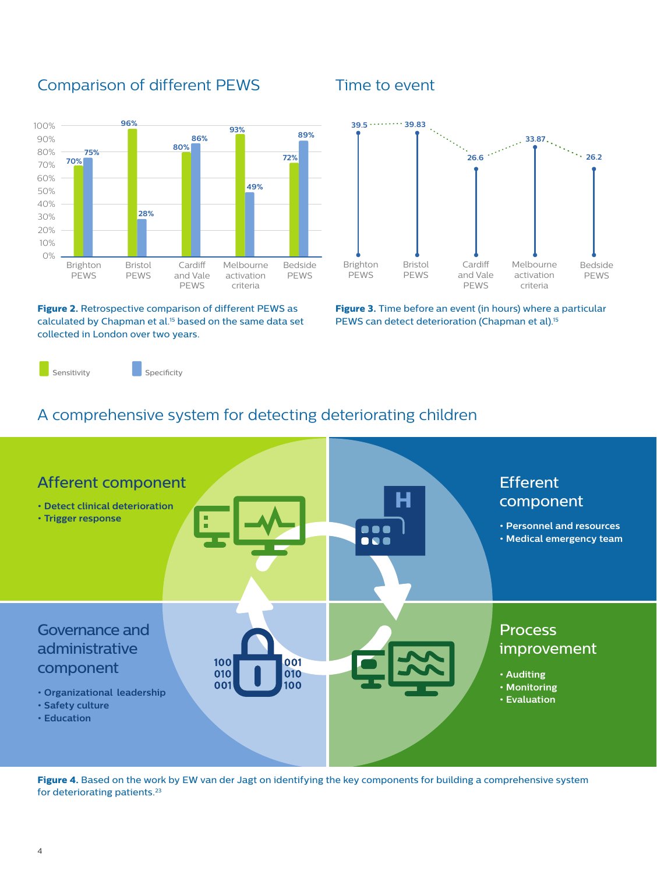### Comparison of different PEWS Time to event



**Figure 2.** Retrospective comparison of different PEWS as calculated by Chapman et al.15 based on the same data set collected in London over two years.



**Figure 3.** Time before an event (in hours) where a particular PEWS can detect deterioration (Chapman et al).<sup>15</sup>

Sensitivity Specificity

#### A comprehensive system for detecting deteriorating children **39.5 39.83** comprehensive system for **72%**



Figure 4. Based on the work by EW van der Jagt on identifying the key components for building a comprehensive system for deteriorating patients.<sup>23</sup>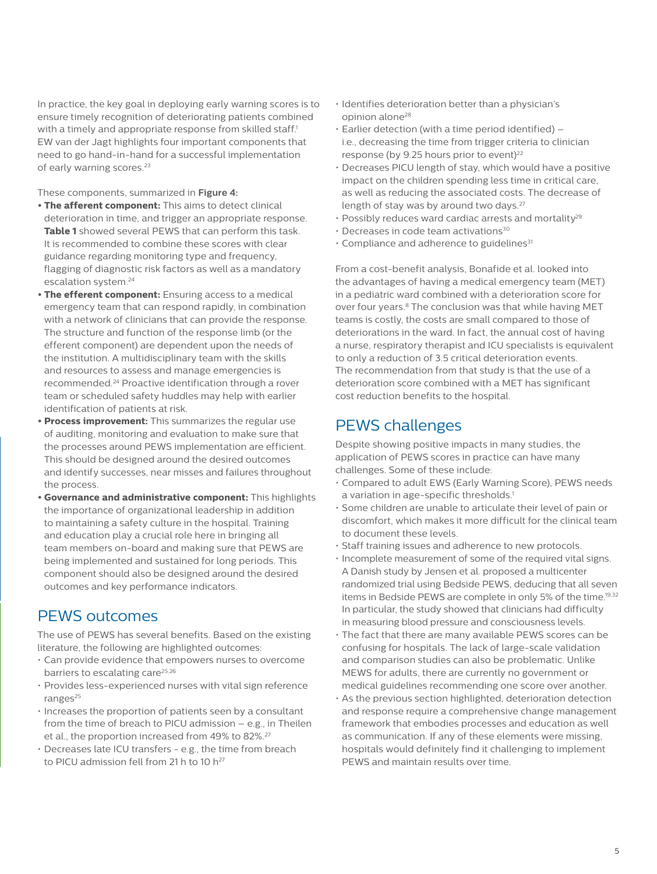In practice, the key goal in deploying early warning scores is to ensure timely recognition of deteriorating patients combined with a timely and appropriate response from skilled staff.<sup>1</sup> EW van der Jagt highlights four important components that need to go hand-in-hand for a successful implementation of early warning scores.<sup>23</sup>

These components, summarized in **Figure 4:**

- **• The afferent component:** This aims to detect clinical deterioration in time, and trigger an appropriate response. **Table 1** showed several PEWS that can perform this task. It is recommended to combine these scores with clear guidance regarding monitoring type and frequency, flagging of diagnostic risk factors as well as a mandatory escalation system.24
- **• The efferent component:** Ensuring access to a medical emergency team that can respond rapidly, in combination with a network of clinicians that can provide the response. The structure and function of the response limb (or the efferent component) are dependent upon the needs of the institution. A multidisciplinary team with the skills and resources to assess and manage emergencies is recommended.24 Proactive identification through a rover team or scheduled safety huddles may help with earlier identification of patients at risk.
- **• Process improvement:** This summarizes the regular use of auditing, monitoring and evaluation to make sure that the processes around PEWS implementation are efficient. This should be designed around the desired outcomes and identify successes, near misses and failures throughout the process.
- **• Governance and administrative component:** This highlights the importance of organizational leadership in addition to maintaining a safety culture in the hospital. Training and education play a crucial role here in bringing all team members on-board and making sure that PEWS are being implemented and sustained for long periods. This component should also be designed around the desired outcomes and key performance indicators.

### PEWS outcomes

The use of PEWS has several benefits. Based on the existing literature, the following are highlighted outcomes:

- Can provide evidence that empowers nurses to overcome barriers to escalating care<sup>25,26</sup>
- Provides less-experienced nurses with vital sign reference ranges<sup>25</sup>
- Increases the proportion of patients seen by a consultant from the time of breach to PICU admission – e.g., in Theilen et al., the proportion increased from 49% to 82%.<sup>27</sup>
- Decreases late ICU transfers e.g., the time from breach to PICU admission fell from 21 h to 10  $h^{27}$
- Identifies deterioration better than a physician's opinion alone<sup>28</sup>
- Earlier detection (with a time period identified) i.e., decreasing the time from trigger criteria to clinician response (by 9.25 hours prior to event)<sup>22</sup>
- Decreases PICU length of stay, which would have a positive impact on the children spending less time in critical care, as well as reducing the associated costs. The decrease of length of stay was by around two days.<sup>27</sup>
- $\cdot$  Possibly reduces ward cardiac arrests and mortality<sup>29</sup>
- $\cdot$  Decreases in code team activations<sup>30</sup>
- $\cdot$  Compliance and adherence to guidelines<sup>31</sup>

From a cost-benefit analysis, Bonafide et al. looked into the advantages of having a medical emergency team (MET) in a pediatric ward combined with a deterioration score for over four years.8 The conclusion was that while having MET teams is costly, the costs are small compared to those of deteriorations in the ward. In fact, the annual cost of having a nurse, respiratory therapist and ICU specialists is equivalent to only a reduction of 3.5 critical deterioration events. The recommendation from that study is that the use of a deterioration score combined with a MET has significant cost reduction benefits to the hospital.

### PEWS challenges

Despite showing positive impacts in many studies, the application of PEWS scores in practice can have many challenges. Some of these include:

- Compared to adult EWS (Early Warning Score), PEWS needs a variation in age-specific thresholds.<sup>1</sup>
- Some children are unable to articulate their level of pain or discomfort, which makes it more difficult for the clinical team to document these levels.
- Staff training issues and adherence to new protocols.
- Incomplete measurement of some of the required vital signs. A Danish study by Jensen et al. proposed a multicenter randomized trial using Bedside PEWS, deducing that all seven items in Bedside PEWS are complete in only 5% of the time.<sup>19,32</sup> In particular, the study showed that clinicians had difficulty in measuring blood pressure and consciousness levels.
- The fact that there are many available PEWS scores can be confusing for hospitals. The lack of large-scale validation and comparison studies can also be problematic. Unlike MEWS for adults, there are currently no government or medical guidelines recommending one score over another.
- As the previous section highlighted, deterioration detection and response require a comprehensive change management framework that embodies processes and education as well as communication. If any of these elements were missing, hospitals would definitely find it challenging to implement PEWS and maintain results over time.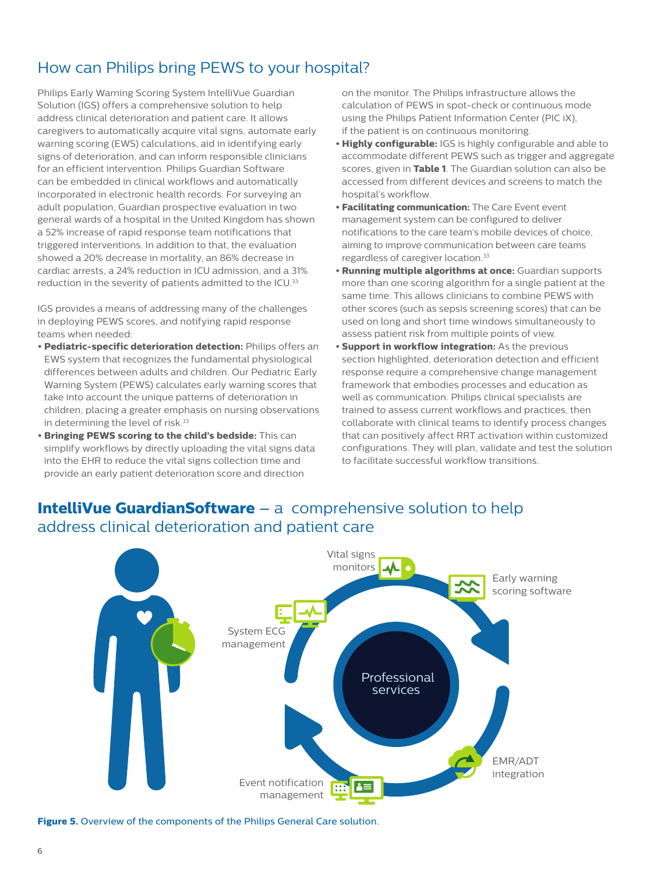## How can Philips bring PEWS to your hospital?

Philips Early Warning Scoring System IntelliVue Guardian Solution (IGS) offers a comprehensive solution to help address clinical deterioration and patient care. It allows caregivers to automatically acquire vital signs, automate early warning scoring (EWS) calculations, aid in identifying early signs of deterioration, and can inform responsible clinicians for an efficient intervention. Philips Guardian Software can be embedded in clinical workflows and automatically incorporated in electronic health records. For surveying an adult population, Guardian prospective evaluation in two general wards of a hospital in the United Kingdom has shown a 52% increase of rapid response team notifications that triggered interventions. In addition to that, the evaluation showed a 20% decrease in mortality, an 86% decrease in cardiac arrests, a 24% reduction in ICU admission, and a 31% reduction in the severity of patients admitted to the ICU.<sup>33</sup>

IGS provides a means of addressing many of the challenges in deploying PEWS scores, and notifying rapid response teams when needed:

- **• Pediatric-specific deterioration detection:** Philips offers an EWS system that recognizes the fundamental physiological differences between adults and children. Our Pediatric Early Warning System (PEWS) calculates early warning scores that take into account the unique patterns of deterioration in children, placing a greater emphasis on nursing observations in determining the level of risk.<sup>33</sup>
- **• Bringing PEWS scoring to the child's bedside:** This can simplify workflows by directly uploading the vital signs data into the EHR to reduce the vital signs collection time and provide an early patient deterioration score and direction

on the monitor. The Philips infrastructure allows the calculation of PEWS in spot-check or continuous mode using the Philips Patient Information Center (PIC iX), if the patient is on continuous monitoring.

- **• Highly configurable:** IGS is highly configurable and able to accommodate different PEWS such as trigger and aggregate scores, given in **Table 1**. The Guardian solution can also be accessed from different devices and screens to match the hospital's workflow.
- **• Facilitating communication:** The Care Event event management system can be configured to deliver notifications to the care team's mobile devices of choice, aiming to improve communication between care teams regardless of caregiver location.33
- **• Running multiple algorithms at once:** Guardian supports more than one scoring algorithm for a single patient at the same time. This allows clinicians to combine PEWS with other scores (such as sepsis screening scores) that can be used on long and short time windows simultaneously to assess patient risk from multiple points of view.
- **• Support in workflow integration:** As the previous section highlighted, deterioration detection and efficient response require a comprehensive change management framework that embodies processes and education as well as communication. Philips clinical specialists are trained to assess current workflows and practices, then collaborate with clinical teams to identify process changes that can positively affect RRT activation within customized configurations. They will plan, validate and test the solution to facilitate successful workflow transitions.

### **IntelliVue GuardianSoftware** – a comprehensive solution to help address clinical deterioration and patient care



**Figure 5.** Overview of the components of the Philips General Care solution.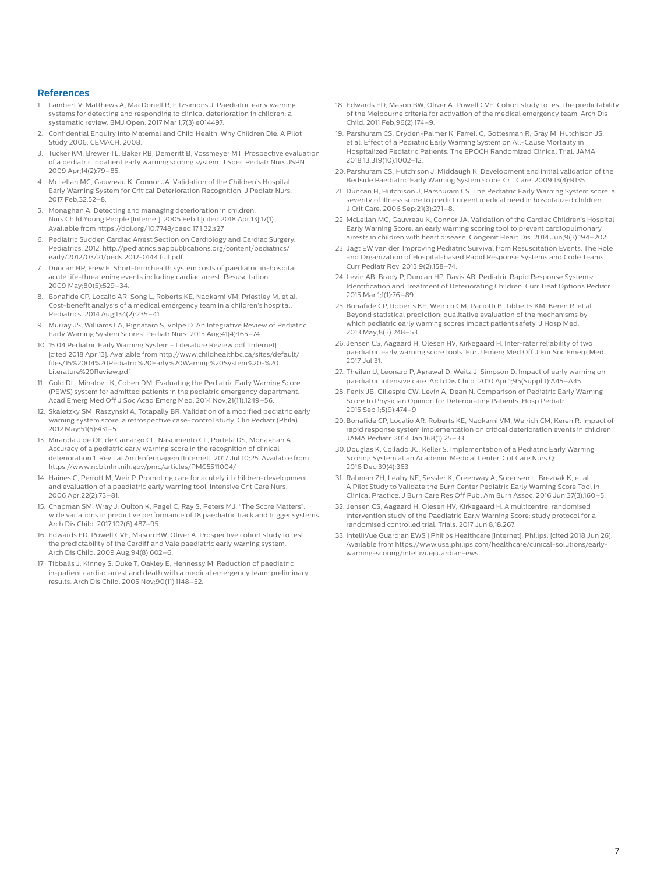#### **References**

- Lambert V, Matthews A, MacDonell R, Fitzsimons J. Paediatric early warning systems for detecting and responding to clinical deterioration in children: a systematic review. BMJ Open. 2017 Mar 1;7(3):e014497.
- 2. Confidential Enquiry into Maternal and Child Health. Why Children Die: A Pilot Study 2006. CEMACH. 2008.
- 3. Tucker KM, Brewer TL, Baker RB, Demeritt B, Vossmeyer MT. Prospective evaluation of a pediatric inpatient early warning scoring system. J Spec Pediatr Nurs JSPN. 2009 Apr;14(2):79–85.
- 4. McLellan MC, Gauvreau K, Connor JA. Validation of the Children's Hospital Early Warning System for Critical Deterioration Recognition. J Pediatr Nurs. 2017 Feb;32:52–8.
- 5. Monaghan A. Detecting and managing deterioration in children. Nurs Child Young People [Internet]. 2005 Feb 1 [cited 2018 Apr 13];17(1). Available from https://doi.org/10.7748/paed.17.1.32.s27
- 6. Pediatric Sudden Cardiac Arrest Section on Cardiology and Cardiac Surgery. Pediatrics. 2012. http://pediatrics.aappublications.org/content/pediatrics/ early/2012/03/21/peds.2012-0144.full.pdf
- 7. Duncan HP, Frew E. Short-term health system costs of paediatric in-hospital acute life-threatening events including cardiac arrest. Resuscitation. 2009 May;80(5):529–34.
- 8. Bonafide CP, Localio AR, Song L, Roberts KE, Nadkarni VM, Priestley M, et al. Cost-benefit analysis of a medical emergency team in a children's hospital. Pediatrics. 2014 Aug;134(2):235–41.
- 9. Murray JS, Williams LA, Pignataro S, Volpe D. An Integrative Review of Pediatric Early Warning System Scores. Pediatr Nurs. 2015 Aug;41(4):165–74.
- 10. 15 04 Pediatric Early Warning System Literature Review.pdf [Internet]. [cited 2018 Apr 13]. Available from http://www.childhealthbc.ca/sites/default/ files/15%2004%20Pediatric%20Early%20Warning%20System%20-%20 Literature%20Review.pdf
- 11. Gold DL, Mihalov LK, Cohen DM. Evaluating the Pediatric Early Warning Score (PEWS) system for admitted patients in the pediatric emergency department. Acad Emerg Med Off J Soc Acad Emerg Med. 2014 Nov;21(11):1249–56.
- 12. Skaletzky SM, Raszynski A, Totapally BR. Validation of a modified pediatric early warning system score: a retrospective case-control study. Clin Pediatr (Phila). 2012 May;51(5):431–5.
- 13. Miranda J de OF, de Camargo CL, Nascimento CL, Portela DS, Monaghan A. Accuracy of a pediatric early warning score in the recognition of clinical deterioration 1. Rev Lat Am Enfermagem [Internet]. 2017 Jul 10;25. Available from https://www.ncbi.nlm.nih.gov/pmc/articles/PMC5511004/
- 14. Haines C, Perrott M, Weir P. Promoting care for acutely ill children-development and evaluation of a paediatric early warning tool. Intensive Crit Care Nurs. 2006 Apr;22(2):73–81.
- 15. Chapman SM, Wray J, Oulton K, Pagel C, Ray S, Peters MJ. "The Score Matters": wide variations in predictive performance of 18 paediatric track and trigger systems. Arch Dis Child. 2017;102(6):487–95.
- 16. Edwards ED, Powell CVE, Mason BW, Oliver A. Prospective cohort study to test the predictability of the Cardiff and Vale paediatric early warning system. Arch Dis Child. 2009 Aug;94(8):602–6.
- 17. Tibballs J, Kinney S, Duke T, Oakley E, Hennessy M. Reduction of paediatric in-patient cardiac arrest and death with a medical emergency team: preliminary results. Arch Dis Child. 2005 Nov;90(11):1148–52.
- 18. Edwards ED, Mason BW, Oliver A, Powell CVE. Cohort study to test the predictability of the Melbourne criteria for activation of the medical emergency team. Arch Dis Child. 2011 Feb;96(2):174–9.
- 19. Parshuram CS, Dryden-Palmer K, Farrell C, Gottesman R, Gray M, Hutchison JS, et al. Effect of a Pediatric Early Warning System on All-Cause Mortality in Hospitalized Pediatric Patients: The EPOCH Randomized Clinical Trial. JAMA. 2018 13;319(10):1002–12.
- 20.Parshuram CS, Hutchison J, Middaugh K. Development and initial validation of the Bedside Paediatric Early Warning System score. Crit Care. 2009;13(4):R135.
- 21. Duncan H, Hutchison J, Parshuram CS. The Pediatric Early Warning System score: a severity of illness score to predict urgent medical need in hospitalized children. J Crit Care. 2006 Sep;21(3):271–8.
- 22. McLellan MC, Gauvreau K, Connor JA. Validation of the Cardiac Children's Hospital Early Warning Score: an early warning scoring tool to prevent cardiopulmonary arrests in children with heart disease. Congenit Heart Dis. 2014 Jun;9(3):194–202.
- 23. Jagt EW van der. Improving Pediatric Survival from Resuscitation Events: The Role and Organization of Hospital-based Rapid Response Systems and Code Teams. Curr Pediatr Rev. 2013;9(2):158–74.
- 24. Levin AB, Brady P, Duncan HP, Davis AB. Pediatric Rapid Response Systems: Identification and Treatment of Deteriorating Children. Curr Treat Options Pediatr. 2015 Mar 1;1(1):76–89.
- 25. Bonafide CP, Roberts KE, Weirich CM, Paciotti B, Tibbetts KM, Keren R, et al. Beyond statistical prediction: qualitative evaluation of the mechanisms by which pediatric early warning scores impact patient safety. J Hosp Med. 2013 May;8(5):248–53.
- 26. Jensen CS, Aagaard H, Olesen HV, Kirkegaard H. Inter-rater reliability of two paediatric early warning score tools. Eur J Emerg Med Off J Eur Soc Emerg Med. 2017 Jul 31.
- 27. Theilen U, Leonard P, Agrawal D, Weitz J, Simpson D. Impact of early warning on paediatric intensive care. Arch Dis Child. 2010 Apr 1;95(Suppl 1):A45–A45.
- 28. Fenix JB, Gillespie CW, Levin A, Dean N. Comparison of Pediatric Early Warning Score to Physician Opinion for Deteriorating Patients. Hosp Pediatr. 2015 Sep 1;5(9):474–9
- 29. Bonafide CP, Localio AR, Roberts KE, Nadkarni VM, Weirich CM, Keren R. Impact of rapid response system implementation on critical deterioration events in children. JAMA Pediatr. 2014 Jan;168(1):25–33.
- 30.Douglas K, Collado JC, Keller S. Implementation of a Pediatric Early Warning Scoring System at an Academic Medical Center. Crit Care Nurs Q. 2016 Dec;39(4):363.
- 31. Rahman ZH, Leahy NE, Sessler K, Greenway A, Sorensen L, Breznak K, et al. A Pilot Study to Validate the Burn Center Pediatric Early Warning Score Tool in Clinical Practice. J Burn Care Res Off Publ Am Burn Assoc. 2016 Jun;37(3):160–5.
- 32. Jensen CS, Aagaard H, Olesen HV, Kirkegaard H. A multicentre, randomised intervention study of the Paediatric Early Warning Score: study protocol for a randomised controlled trial. Trials. 2017 Jun 8;18:267.
- 33. IntelliVue Guardian EWS | Philips Healthcare [Internet]. Philips. [cited 2018 Jun 26]. Available from https://www.usa.philips.com/healthcare/clinical-solutions/earlywarning-scoring/intellivueguardian-ews